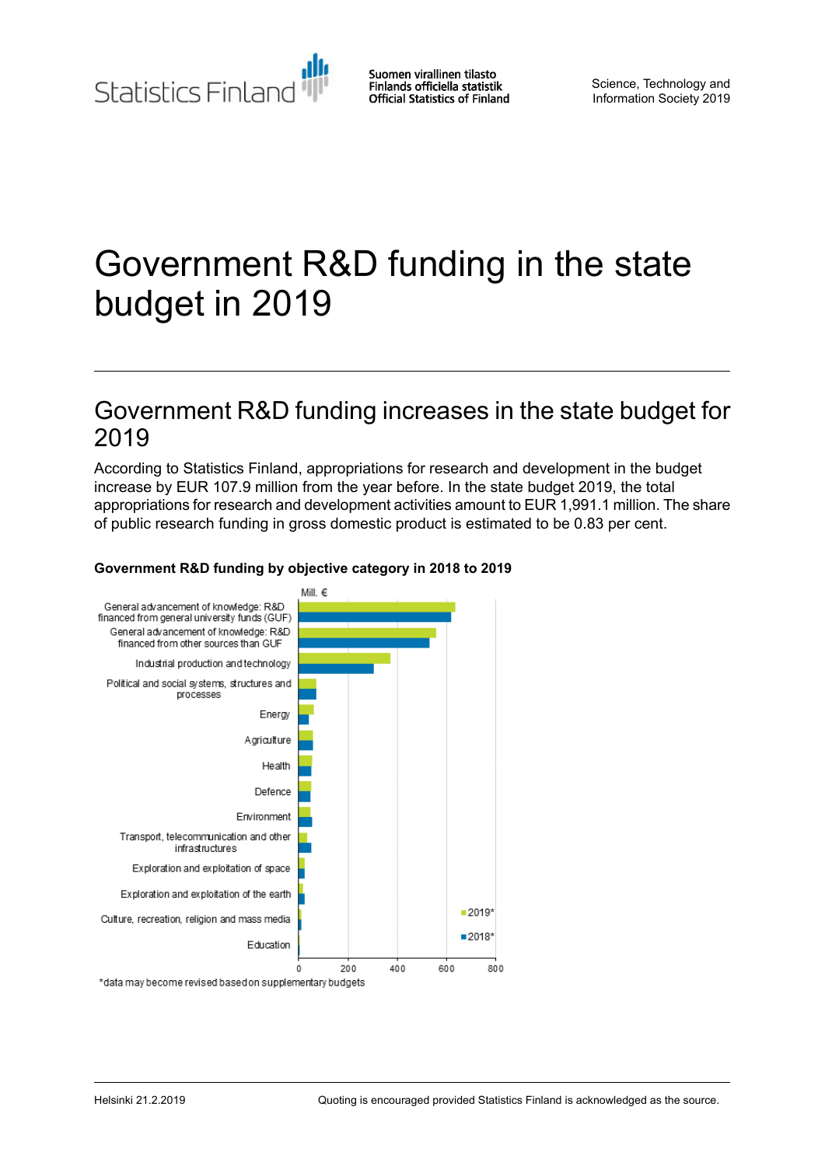Statistics Finland

Suomen virallinen tilasto Finlands officiella statistik **Official Statistics of Finland** 

Science, Technology and Information Society 2019

# Government R&D funding in the state budget in 2019

### Government R&D funding increases in the state budget for 2019

According to Statistics Finland, appropriations for research and development in the budget increase by EUR 107.9 million from the year before. In the state budget 2019, the total appropriations for research and development activities amount to EUR 1,991.1 million. The share of public research funding in gross domestic product is estimated to be 0.83 per cent.



### **Government R&D funding by objective category in 2018 to 2019**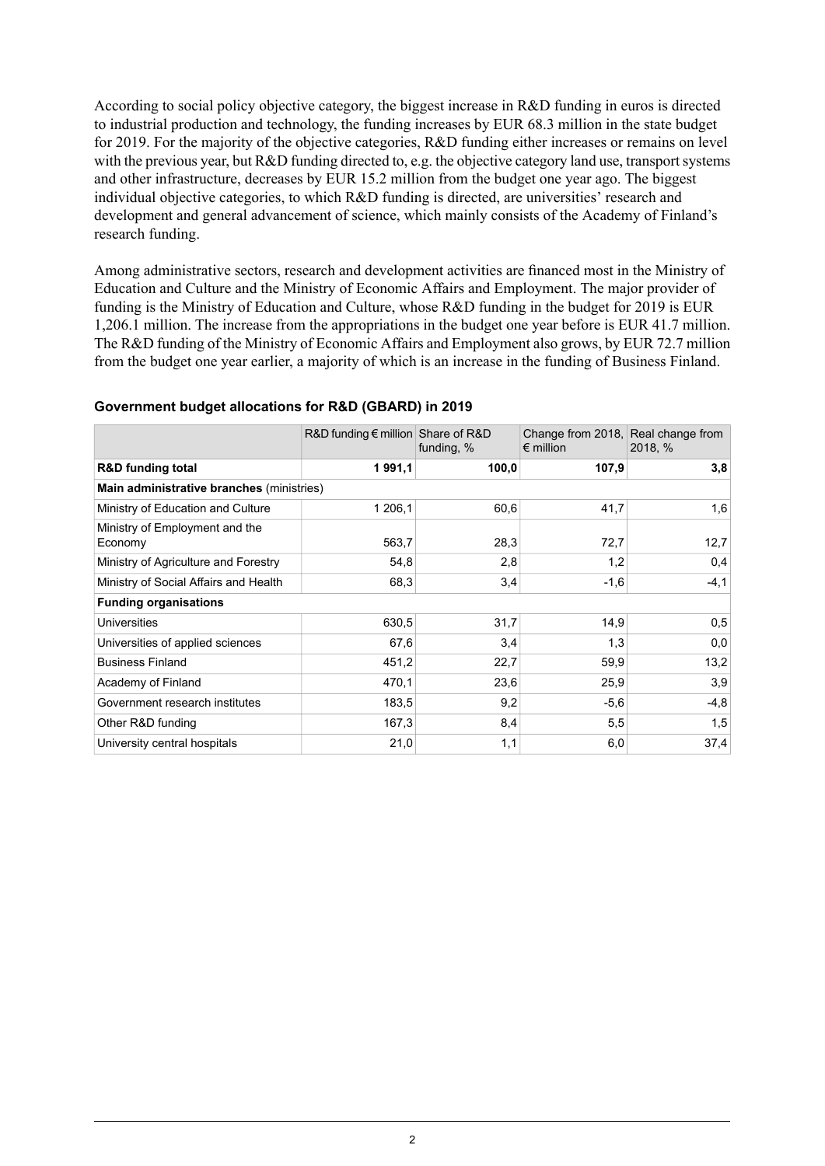According to social policy objective category, the biggest increase in R&D funding in euros is directed to industrial production and technology, the funding increases by EUR 68.3 million in the state budget for 2019. For the majority of the objective categories, R&D funding either increases or remains on level with the previous year, but R&D funding directed to, e.g. the objective category land use, transport systems and other infrastructure, decreases by EUR 15.2 million from the budget one year ago. The biggest individual objective categories, to which R&D funding is directed, are universities' research and development and general advancement of science, which mainly consists of the Academy of Finland's research funding.

Among administrative sectors, research and development activities are financed most in the Ministry of Education and Culture and the Ministry of Economic Affairs and Employment. The major provider of funding is the Ministry of Education and Culture, whose R&D funding in the budget for 2019 is EUR 1,206.1 million. The increase from the appropriations in the budget one year before is EUR 41.7 million. The R&D funding of the Ministry of Economic Affairs and Employment also grows, by EUR 72.7 million from the budget one year earlier, a majority of which is an increase in the funding of Business Finland.

|                                           |         | R&D funding $\epsilon$ million Share of R&D<br>$\epsilon$ million<br>funding, $%$ |        | Change from 2018, Real change from<br>2018, % |  |
|-------------------------------------------|---------|-----------------------------------------------------------------------------------|--------|-----------------------------------------------|--|
| <b>R&amp;D</b> funding total              | 1991,1  | 100,0                                                                             | 107,9  | 3,8                                           |  |
| Main administrative branches (ministries) |         |                                                                                   |        |                                               |  |
| Ministry of Education and Culture         | 1 206,1 | 60,6                                                                              | 41,7   | 1,6                                           |  |
| Ministry of Employment and the<br>Economy | 563,7   | 28,3                                                                              | 72,7   | 12,7                                          |  |
| Ministry of Agriculture and Forestry      | 54,8    | 2,8                                                                               | 1,2    | 0,4                                           |  |
| Ministry of Social Affairs and Health     | 68,3    | 3,4                                                                               | $-1,6$ | $-4, 1$                                       |  |
| <b>Funding organisations</b>              |         |                                                                                   |        |                                               |  |
| <b>Universities</b>                       | 630,5   | 31,7                                                                              | 14,9   | 0,5                                           |  |
| Universities of applied sciences          | 67,6    | 3,4                                                                               | 1,3    | 0,0                                           |  |
| <b>Business Finland</b>                   | 451,2   | 22,7                                                                              | 59,9   | 13,2                                          |  |
| Academy of Finland                        | 470,1   | 23,6                                                                              | 25,9   | 3,9                                           |  |
| Government research institutes            | 183,5   | 9,2                                                                               | $-5,6$ | $-4,8$                                        |  |
| Other R&D funding                         | 167,3   | 8,4                                                                               | 5,5    | 1,5                                           |  |
| University central hospitals              | 21,0    | 1,1                                                                               | 6,0    | 37,4                                          |  |

#### **Government budget allocations for R&D (GBARD) in 2019**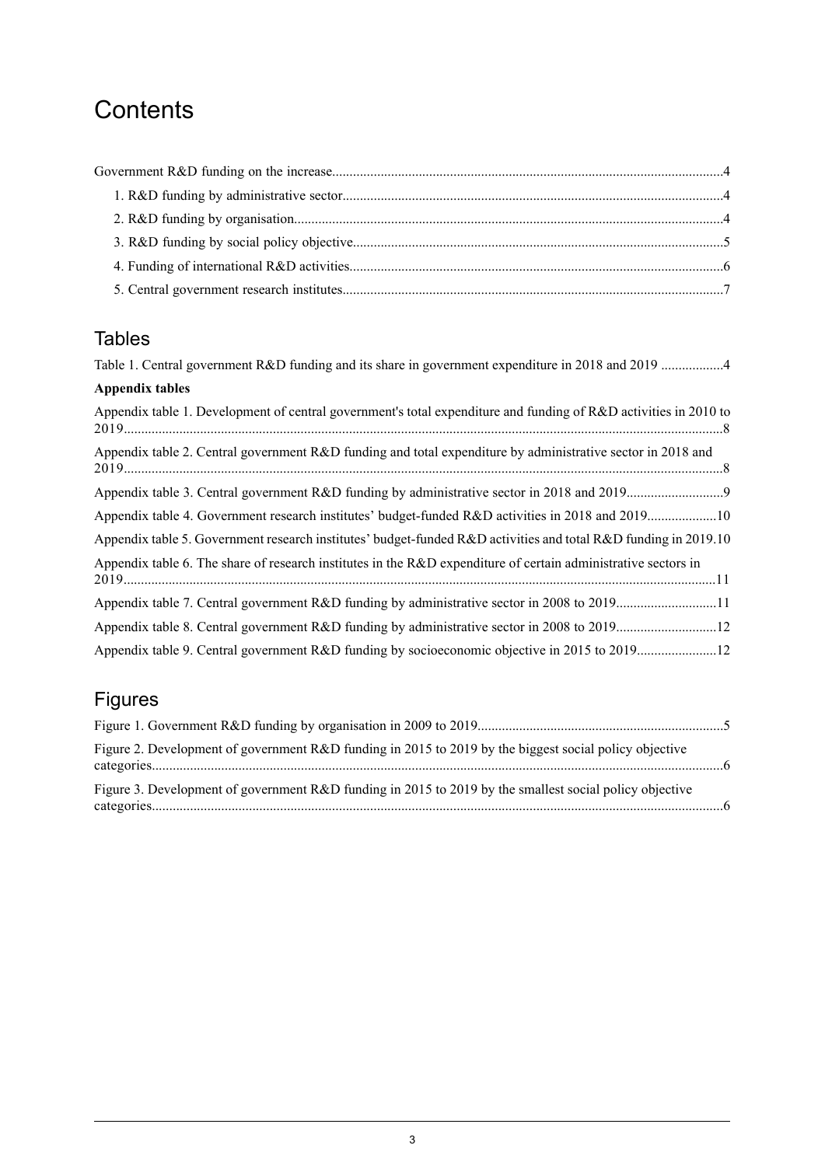## **Contents**

### Tables

| Table 1. Central government R&D funding and its share in government expenditure in 2018 and 2019 4               |
|------------------------------------------------------------------------------------------------------------------|
| <b>Appendix tables</b>                                                                                           |
| Appendix table 1. Development of central government's total expenditure and funding of R&D activities in 2010 to |
| Appendix table 2. Central government R&D funding and total expenditure by administrative sector in 2018 and      |
|                                                                                                                  |
| Appendix table 4. Government research institutes' budget-funded R&D activities in 2018 and 201910                |
| Appendix table 5. Government research institutes' budget-funded R&D activities and total R&D funding in 2019.10  |
| Appendix table 6. The share of research institutes in the R&D expenditure of certain administrative sectors in   |
| Appendix table 7. Central government R&D funding by administrative sector in 2008 to 201911                      |
|                                                                                                                  |
|                                                                                                                  |

## Figures

| Figure 2. Development of government R&D funding in 2015 to 2019 by the biggest social policy objective  |  |
|---------------------------------------------------------------------------------------------------------|--|
| Figure 3. Development of government R&D funding in 2015 to 2019 by the smallest social policy objective |  |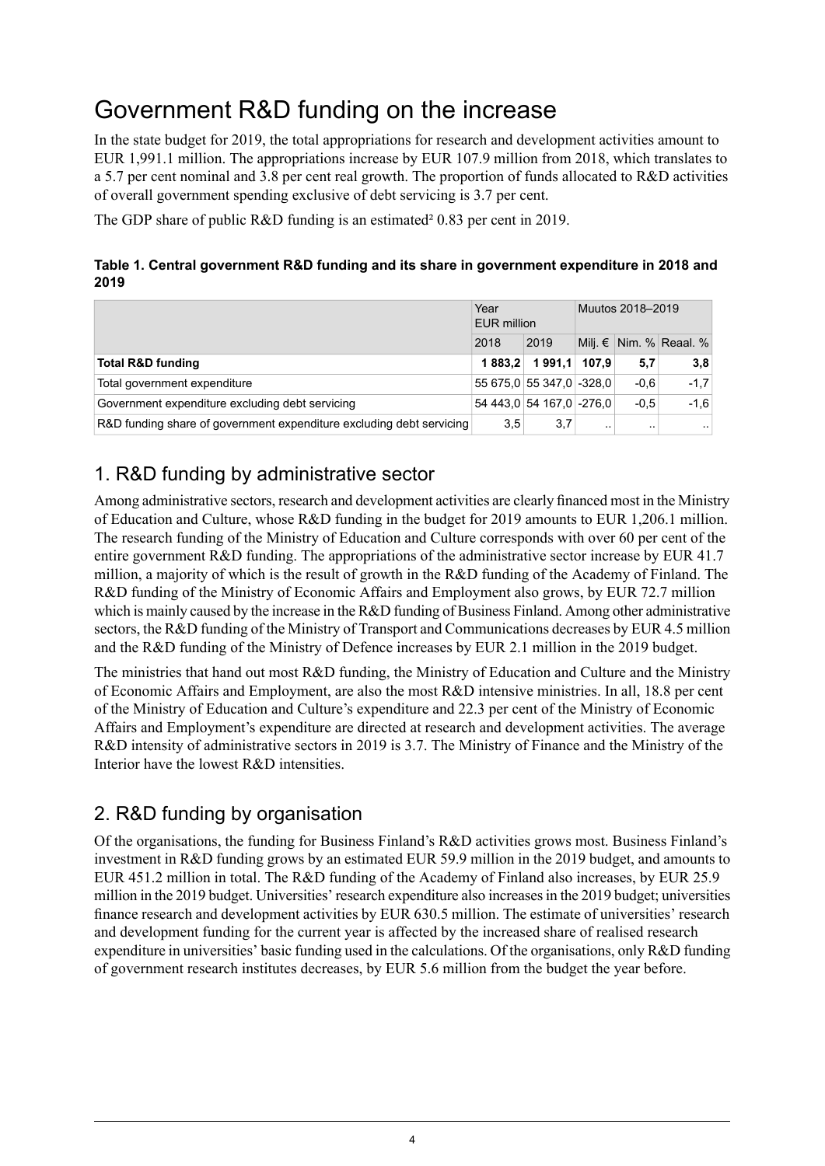## <span id="page-3-0"></span>Government R&D funding on the increase

In the state budget for 2019, the total appropriations for research and development activities amount to EUR 1,991.1 million. The appropriations increase by EUR 107.9 million from 2018, which translates to a 5.7 per cent nominal and 3.8 per cent real growth. The proportion of funds allocated to R&D activities of overall government spending exclusive of debt servicing is 3.7 per cent.

<span id="page-3-3"></span>The GDP share of public R&D funding is an estimated<sup>2</sup> 0.83 per cent in 2019.

### **Table 1. Central government R&D funding and its share in government expenditure in 2018 and 2019**

|                                                                      | Year<br><b>EUR million</b> |                           | Muutos 2018-2019 |        |                           |  |
|----------------------------------------------------------------------|----------------------------|---------------------------|------------------|--------|---------------------------|--|
|                                                                      | 2018                       | 2019                      |                  |        | Milj. $€$ Nim. % Reaal. % |  |
| <b>Total R&amp;D funding</b>                                         | 1883.2                     | 1991.1 107.9              |                  | 5,7    | 3,8                       |  |
| Total government expenditure                                         |                            | 55 675.0 55 347.0 -328.0  |                  | $-0.6$ | $-1.7$                    |  |
| Government expenditure excluding debt servicing                      |                            | 54 443.0 54 167.0 - 276.0 |                  | $-0.5$ | $-1.6$                    |  |
| R&D funding share of government expenditure excluding debt servicing | 3.5                        | 3.7                       | . .              | . .    | $\sim$ $\sim$             |  |

### <span id="page-3-1"></span>1. R&D funding by administrative sector

Among administrative sectors, research and development activities are clearly financed most in the Ministry of Education and Culture, whose R&D funding in the budget for 2019 amounts to EUR 1,206.1 million. The research funding of the Ministry of Education and Culture corresponds with over 60 per cent of the entire government R&D funding. The appropriations of the administrative sector increase by EUR 41.7 million, a majority of which is the result of growth in the R&D funding of the Academy of Finland. The R&D funding of the Ministry of Economic Affairs and Employment also grows, by EUR 72.7 million which is mainly caused by the increase in the R&D funding of Business Finland. Among other administrative sectors, the R&D funding of the Ministry of Transport and Communications decreases by EUR 4.5 million and the R&D funding of the Ministry of Defence increases by EUR 2.1 million in the 2019 budget.

<span id="page-3-2"></span>The ministries that hand out most R&D funding, the Ministry of Education and Culture and the Ministry of Economic Affairs and Employment, are also the most R&D intensive ministries. In all, 18.8 per cent of the Ministry of Education and Culture's expenditure and 22.3 per cent of the Ministry of Economic Affairs and Employment's expenditure are directed at research and development activities. The average R&D intensity of administrative sectors in 2019 is 3.7. The Ministry of Finance and the Ministry of the Interior have the lowest R&D intensities.

### 2. R&D funding by organisation

Of the organisations, the funding for Business Finland's R&D activities grows most. Business Finland's investment in R&D funding grows by an estimated EUR 59.9 million in the 2019 budget, and amounts to EUR 451.2 million in total. The R&D funding of the Academy of Finland also increases, by EUR 25.9 million in the 2019 budget. Universities' research expenditure also increasesin the 2019 budget; universities finance research and development activities by EUR 630.5 million. The estimate of universities' research and development funding for the current year is affected by the increased share of realised research expenditure in universities' basic funding used in the calculations. Of the organisations, only R&D funding of government research institutes decreases, by EUR 5.6 million from the budget the year before.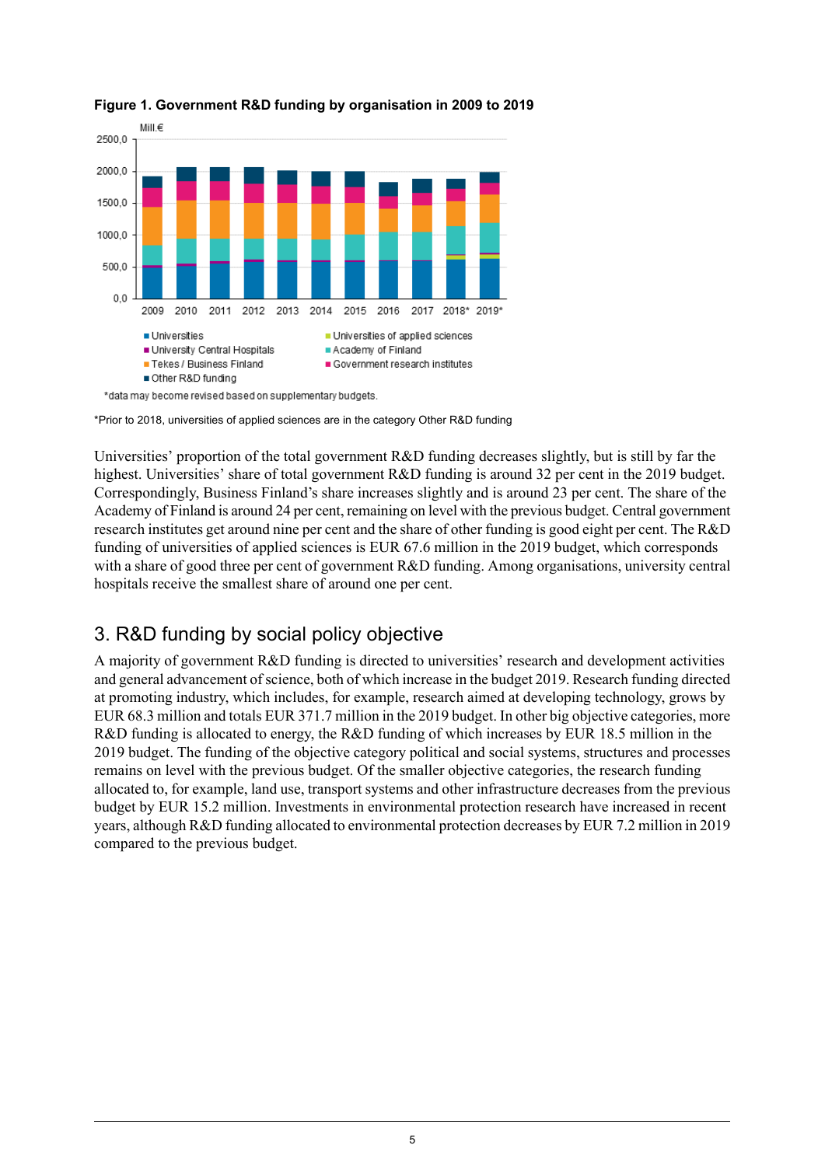

### <span id="page-4-1"></span>**Figure 1. Government R&D funding by organisation in 2009 to 2019**

\*Prior to 2018, universities of applied sciences are in the category Other R&D funding

Universities' proportion of the total government R&D funding decreases slightly, but is still by far the highest. Universities' share of total government R&D funding is around 32 per cent in the 2019 budget. Correspondingly, Business Finland's share increases slightly and is around 23 per cent. The share of the Academy of Finland is around 24 per cent, remaining on level with the previous budget. Central government research institutes get around nine per cent and the share of other funding is good eight per cent. The R&D funding of universities of applied sciences is EUR 67.6 million in the 2019 budget, which corresponds with a share of good three per cent of government R&D funding. Among organisations, university central hospitals receive the smallest share of around one per cent.

### <span id="page-4-0"></span>3. R&D funding by social policy objective

A majority of government R&D funding is directed to universities' research and development activities and general advancement ofscience, both of which increase in the budget 2019. Research funding directed at promoting industry, which includes, for example, research aimed at developing technology, grows by EUR 68.3 million and totals EUR 371.7 million in the 2019 budget. In other big objective categories, more R&D funding is allocated to energy, the R&D funding of which increases by EUR 18.5 million in the 2019 budget. The funding of the objective category political and social systems, structures and processes remains on level with the previous budget. Of the smaller objective categories, the research funding allocated to, for example, land use, transport systems and other infrastructure decreases from the previous budget by EUR 15.2 million. Investments in environmental protection research have increased in recent years, although R&D funding allocated to environmental protection decreases by EUR 7.2 million in 2019 compared to the previous budget.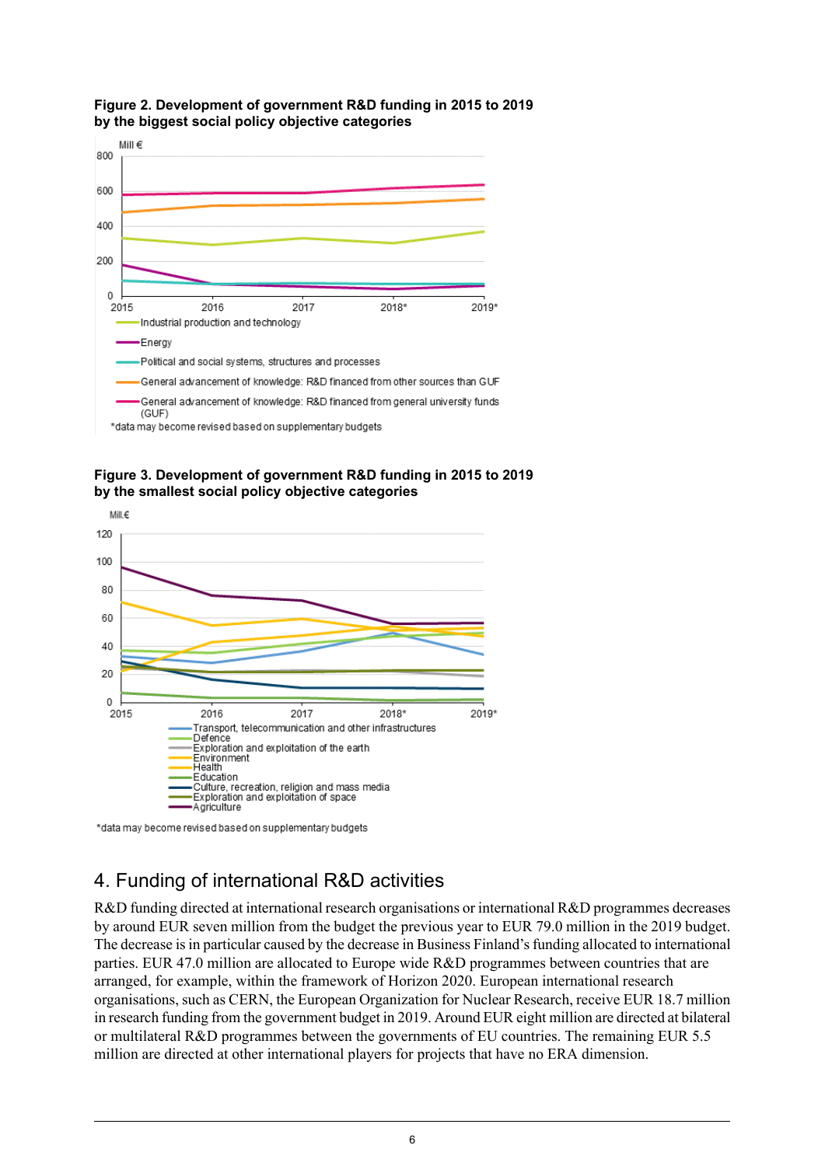

#### <span id="page-5-1"></span>**Figure 2. Development of government R&D funding in 2015 to 2019 by the biggest social policy objective categories**

<span id="page-5-2"></span>



<span id="page-5-0"></span>\*data may become revised based on supplementary budgets

### 4. Funding of international R&D activities

R&D funding directed at international research organisations or international R&D programmes decreases by around EUR seven million from the budget the previous year to EUR 79.0 million in the 2019 budget. The decrease isin particular caused by the decrease in Business Finland'sfunding allocated to international parties. EUR 47.0 million are allocated to Europe wide R&D programmes between countries that are arranged, for example, within the framework of Horizon 2020. European international research organisations, such as CERN, the European Organization for Nuclear Research, receive EUR 18.7 million in research funding from the government budget in 2019. Around EUR eight million are directed at bilateral or multilateral R&D programmes between the governments of EU countries. The remaining EUR 5.5 million are directed at other international players for projects that have no ERA dimension.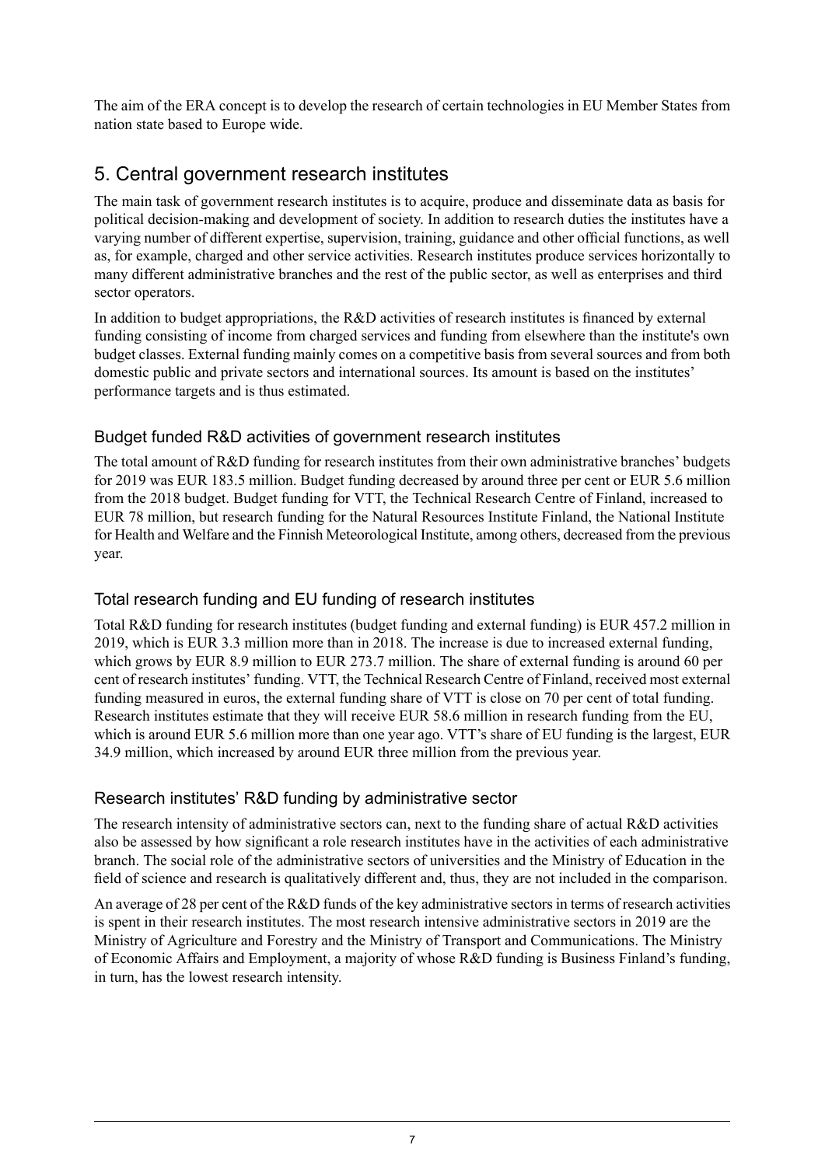The aim of the ERA concept is to develop the research of certain technologies in EU Member States from nation state based to Europe wide.

### <span id="page-6-0"></span>5. Central government research institutes

The main task of government research institutes is to acquire, produce and disseminate data as basis for political decision-making and development of society. In addition to research duties the institutes have a varying number of different expertise, supervision, training, guidance and other official functions, as well as, for example, charged and other service activities. Research institutes produce services horizontally to many different administrative branches and the rest of the public sector, as well as enterprises and third sector operators.

In addition to budget appropriations, the R&D activities of research institutes is financed by external funding consisting of income from charged services and funding from elsewhere than the institute's own budget classes. External funding mainly comes on a competitive basis from several sources and from both domestic public and private sectors and international sources. Its amount is based on the institutes' performance targets and is thus estimated.

### Budget funded R&D activities of government research institutes

The total amount of R&D funding for research institutes from their own administrative branches' budgets for 2019 was EUR 183.5 million. Budget funding decreased by around three per cent or EUR 5.6 million from the 2018 budget. Budget funding for VTT, the Technical Research Centre of Finland, increased to EUR 78 million, but research funding for the Natural Resources Institute Finland, the National Institute for Health and Welfare and the Finnish Meteorological Institute, among others, decreased from the previous year.

### Total research funding and EU funding of research institutes

Total R&D funding for research institutes (budget funding and external funding) is EUR 457.2 million in 2019, which is EUR 3.3 million more than in 2018. The increase is due to increased external funding, which grows by EUR 8.9 million to EUR 273.7 million. The share of external funding is around 60 per cent of research institutes' funding. VTT, the Technical Research Centre of Finland, received most external funding measured in euros, the external funding share of VTT is close on 70 per cent of total funding. Research institutes estimate that they will receive EUR 58.6 million in research funding from the EU, which is around EUR 5.6 million more than one year ago. VTT's share of EU funding is the largest, EUR 34.9 million, which increased by around EUR three million from the previous year.

### Research institutes' R&D funding by administrative sector

The research intensity of administrative sectors can, next to the funding share of actual R&D activities also be assessed by how significant a role research institutes have in the activities of each administrative branch. The social role of the administrative sectors of universities and the Ministry of Education in the field of science and research is qualitatively different and, thus, they are not included in the comparison.

An average of 28 per cent of the R&D funds of the key administrative sectors in terms of research activities is spent in their research institutes. The most research intensive administrative sectors in 2019 are the Ministry of Agriculture and Forestry and the Ministry of Transport and Communications. The Ministry of Economic Affairs and Employment, a majority of whose R&D funding is Business Finland's funding, in turn, has the lowest research intensity.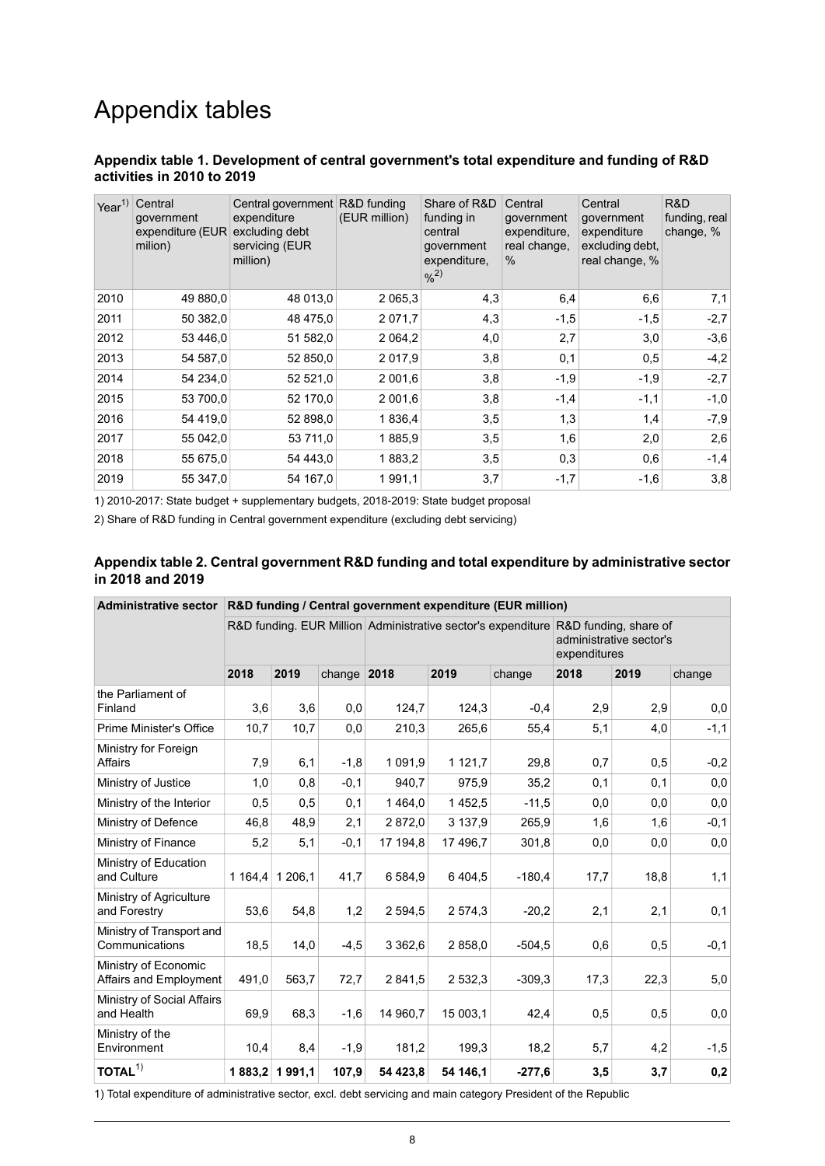## Appendix tables

#### <span id="page-7-0"></span>**Appendix table 1. Development of central government's total expenditure and funding of R&D activities in 2010 to 2019**

| Year <sup>1)</sup> | Central<br>government<br>expenditure (EUR<br>milion) | Central government R&D funding<br>expenditure<br>excluding debt<br>servicing (EUR<br>million) | (EUR million) | Share of R&D<br>funding in<br>central<br>government<br>expenditure,<br>$%^{2)}$ | Central<br>government<br>expenditure,<br>real change,<br>$\%$ | Central<br>government<br>expenditure<br>excluding debt,<br>real change, % | R&D<br>funding, real<br>change, % |
|--------------------|------------------------------------------------------|-----------------------------------------------------------------------------------------------|---------------|---------------------------------------------------------------------------------|---------------------------------------------------------------|---------------------------------------------------------------------------|-----------------------------------|
| 2010               | 49 880,0                                             | 48 013,0                                                                                      | 2 0 6 5 . 3   | 4,3                                                                             | 6,4                                                           | 6,6                                                                       | 7,1                               |
| 2011               | 50 382,0                                             | 48 475,0                                                                                      | 2 0 7 1 , 7   | 4,3                                                                             | $-1,5$                                                        | $-1,5$                                                                    | $-2,7$                            |
| 2012               | 53 446,0                                             | 51 582,0                                                                                      | 2 0 64,2      | 4,0                                                                             | 2,7                                                           | 3,0                                                                       | $-3,6$                            |
| 2013               | 54 587,0                                             | 52 850,0                                                                                      | 2 0 1 7 .9    | 3,8                                                                             | 0,1                                                           | 0,5                                                                       | $-4,2$                            |
| 2014               | 54 234,0                                             | 52 521,0                                                                                      | 2 001,6       | 3,8                                                                             | $-1,9$                                                        | $-1,9$                                                                    | $-2,7$                            |
| 2015               | 53 700,0                                             | 52 170,0                                                                                      | 2 001,6       | 3,8                                                                             | $-1,4$                                                        | $-1,1$                                                                    | $-1,0$                            |
| 2016               | 54 419,0                                             | 52 898,0                                                                                      | 1836,4        | 3,5                                                                             | 1,3                                                           | 1,4                                                                       | $-7,9$                            |
| 2017               | 55 042,0                                             | 53 711,0                                                                                      | 1885,9        | 3,5                                                                             | 1,6                                                           | 2,0                                                                       | 2,6                               |
| 2018               | 55 675,0                                             | 54 443.0                                                                                      | 1883,2        | 3,5                                                                             | 0,3                                                           | 0,6                                                                       | $-1,4$                            |
| 2019               | 55 347,0                                             | 54 167,0                                                                                      | 1991,1        | 3,7                                                                             | $-1,7$                                                        | $-1,6$                                                                    | 3,8                               |

<span id="page-7-1"></span>1) 2010-2017: State budget + supplementary budgets, 2018-2019: State budget proposal

2) Share of R&D funding in Central government expenditure (excluding debt servicing)

#### **Appendix table 2. Central government R&D funding and total expenditure by administrative sector in 2018 and 2019**

| <b>Administrative sector</b>                   | R&D funding / Central government expenditure (EUR million) |         |               |                                                                                    |             |          |                                         |      |        |  |
|------------------------------------------------|------------------------------------------------------------|---------|---------------|------------------------------------------------------------------------------------|-------------|----------|-----------------------------------------|------|--------|--|
|                                                |                                                            |         |               | R&D funding. EUR Million Administrative sector's expenditure R&D funding, share of |             |          | administrative sector's<br>expenditures |      |        |  |
|                                                | 2018                                                       | 2019    | change $2018$ |                                                                                    | 2019        | change   | 2018                                    | 2019 | change |  |
| the Parliament of<br>Finland                   | 3,6                                                        | 3,6     | 0,0           | 124,7                                                                              | 124,3       | $-0,4$   | 2,9                                     | 2,9  | 0,0    |  |
| Prime Minister's Office                        | 10,7                                                       | 10,7    | 0,0           | 210,3                                                                              | 265,6       | 55,4     | 5,1                                     | 4,0  | $-1,1$ |  |
| Ministry for Foreign<br><b>Affairs</b>         | 7,9                                                        | 6,1     | $-1,8$        | 1 0 9 1 , 9                                                                        | 1 1 2 1 , 7 | 29,8     | 0,7                                     | 0,5  | $-0,2$ |  |
| Ministry of Justice                            | 1,0                                                        | 0,8     | $-0,1$        | 940.7                                                                              | 975,9       | 35,2     | 0,1                                     | 0,1  | 0,0    |  |
| Ministry of the Interior                       | 0,5                                                        | 0,5     | 0,1           | 1464,0                                                                             | 1452,5      | $-11,5$  | 0,0                                     | 0,0  | 0,0    |  |
| Ministry of Defence                            | 46,8                                                       | 48,9    | 2,1           | 2872,0                                                                             | 3 137,9     | 265,9    | 1,6                                     | 1,6  | $-0,1$ |  |
| Ministry of Finance                            | 5,2                                                        | 5,1     | $-0,1$        | 17 194,8                                                                           | 17 496,7    | 301,8    | 0,0                                     | 0,0  | 0,0    |  |
| Ministry of Education<br>and Culture           | 1164,4                                                     | 1 206,1 | 41,7          | 6 5 8 4 9                                                                          | 6 4 0 4 5   | $-180.4$ | 17,7                                    | 18,8 | 1,1    |  |
| Ministry of Agriculture<br>and Forestry        | 53,6                                                       | 54,8    | 1,2           | 2 594,5                                                                            | 2574,3      | $-20,2$  | 2,1                                     | 2,1  | 0,1    |  |
| Ministry of Transport and<br>Communications    | 18,5                                                       | 14,0    | $-4,5$        | 3 3 6 2 , 6                                                                        | 2858,0      | $-504.5$ | 0,6                                     | 0,5  | $-0,1$ |  |
| Ministry of Economic<br>Affairs and Employment | 491,0                                                      | 563,7   | 72,7          | 2841,5                                                                             | 2 532,3     | $-309,3$ | 17,3                                    | 22,3 | 5,0    |  |
| Ministry of Social Affairs<br>and Health       | 69,9                                                       | 68,3    | $-1,6$        | 14 960,7                                                                           | 15 003,1    | 42,4     | 0,5                                     | 0,5  | 0,0    |  |
| Ministry of the<br>Environment                 | 10,4                                                       | 8,4     | $-1,9$        | 181,2                                                                              | 199,3       | 18,2     | 5,7                                     | 4,2  | $-1,5$ |  |
| TOTAL <sup>1</sup>                             | 1883,2                                                     | 1991,1  | 107,9         | 54 423,8                                                                           | 54 146.1    | $-277,6$ | 3,5                                     | 3,7  | 0,2    |  |

1) Total expenditure of administrative sector, excl. debt servicing and main category President of the Republic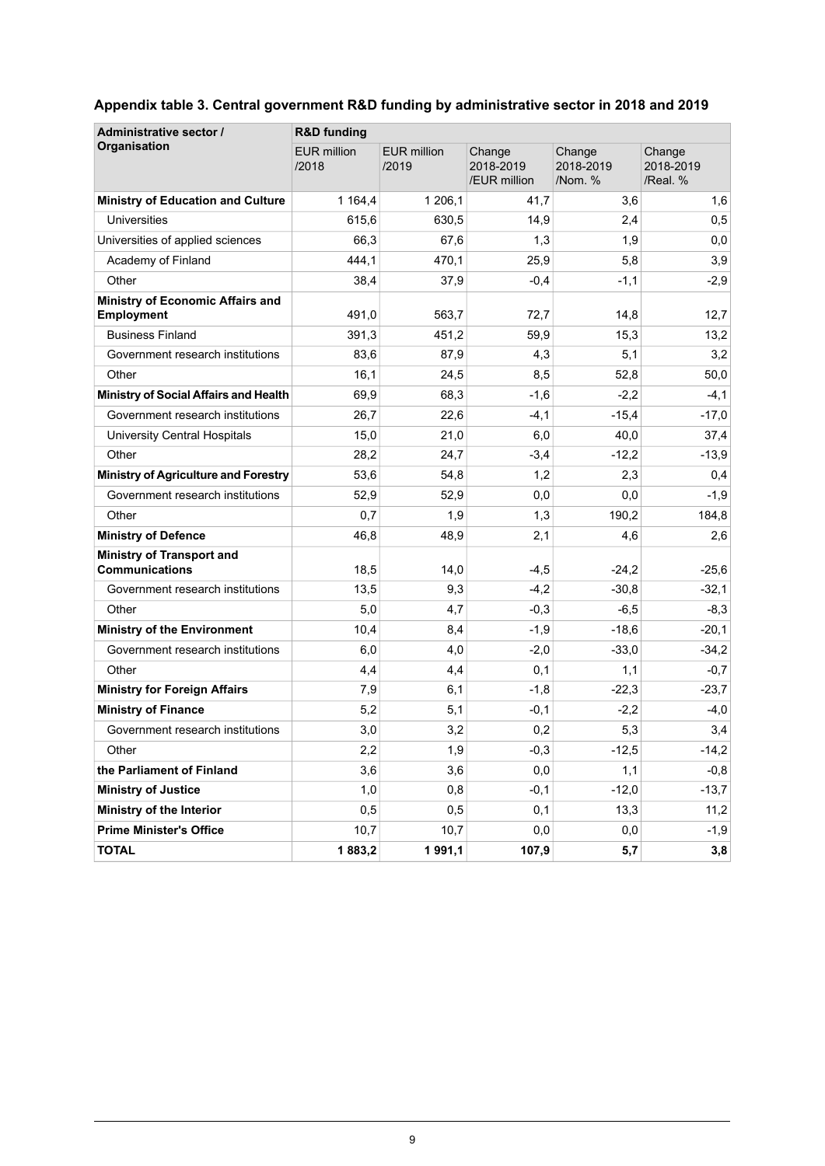| Administrative sector /                                   | <b>R&amp;D</b> funding      |                             |                                     |                                |                                 |  |  |  |  |
|-----------------------------------------------------------|-----------------------------|-----------------------------|-------------------------------------|--------------------------------|---------------------------------|--|--|--|--|
| <b>Organisation</b>                                       | <b>EUR million</b><br>/2018 | <b>EUR million</b><br>/2019 | Change<br>2018-2019<br>/EUR million | Change<br>2018-2019<br>/Nom. % | Change<br>2018-2019<br>/Real. % |  |  |  |  |
| <b>Ministry of Education and Culture</b>                  | 1 1 64,4                    | 1 206.1                     | 41,7                                | 3,6                            | 1,6                             |  |  |  |  |
| <b>Universities</b>                                       | 615,6                       | 630,5                       | 14,9                                | 2,4                            | 0,5                             |  |  |  |  |
| Universities of applied sciences                          | 66,3                        | 67,6                        | 1,3                                 | 1,9                            | 0,0                             |  |  |  |  |
| Academy of Finland                                        | 444,1                       | 470.1                       | 25,9                                | 5,8                            | 3,9                             |  |  |  |  |
| Other                                                     | 38,4                        | 37,9                        | $-0.4$                              | $-1,1$                         | $-2,9$                          |  |  |  |  |
| <b>Ministry of Economic Affairs and</b><br>Employment     | 491,0                       | 563,7                       | 72,7                                | 14,8                           | 12,7                            |  |  |  |  |
| <b>Business Finland</b>                                   | 391,3                       | 451,2                       | 59,9                                | 15,3                           | 13,2                            |  |  |  |  |
| Government research institutions                          | 83,6                        | 87,9                        | 4,3                                 | 5,1                            | 3,2                             |  |  |  |  |
| Other                                                     | 16,1                        | 24,5                        | 8,5                                 | 52,8                           | 50,0                            |  |  |  |  |
| <b>Ministry of Social Affairs and Health</b>              | 69,9                        | 68,3                        | $-1,6$                              | $-2,2$                         | $-4,1$                          |  |  |  |  |
| Government research institutions                          | 26,7                        | 22,6                        | $-4,1$                              | $-15,4$                        | $-17,0$                         |  |  |  |  |
| University Central Hospitals                              | 15,0                        | 21,0                        | 6,0                                 | 40,0                           | 37,4                            |  |  |  |  |
| Other                                                     | 28,2                        | 24,7                        | $-3,4$                              | $-12,2$                        | $-13,9$                         |  |  |  |  |
| <b>Ministry of Agriculture and Forestry</b>               | 53,6                        | 54,8                        | 1,2                                 | 2,3                            | 0,4                             |  |  |  |  |
| Government research institutions                          | 52,9                        | 52,9                        | 0,0                                 | 0,0                            | $-1,9$                          |  |  |  |  |
| Other                                                     | 0,7                         | 1,9                         | 1,3                                 | 190,2                          | 184,8                           |  |  |  |  |
| <b>Ministry of Defence</b>                                | 46,8                        | 48,9                        | 2,1                                 | 4,6                            | 2,6                             |  |  |  |  |
| <b>Ministry of Transport and</b><br><b>Communications</b> | 18,5                        | 14,0                        | $-4,5$                              | $-24,2$                        | $-25,6$                         |  |  |  |  |
| Government research institutions                          | 13,5                        | 9,3                         | $-4,2$                              | $-30,8$                        | $-32,1$                         |  |  |  |  |
| Other                                                     | 5,0                         | 4,7                         | $-0,3$                              | $-6,5$                         | $-8,3$                          |  |  |  |  |
| <b>Ministry of the Environment</b>                        | 10,4                        | 8,4                         | $-1,9$                              | $-18,6$                        | $-20,1$                         |  |  |  |  |
| Government research institutions                          | 6,0                         | 4,0                         | $-2,0$                              | $-33,0$                        | $-34,2$                         |  |  |  |  |
| Other                                                     | 4,4                         | 4,4                         | 0,1                                 | 1,1                            | $-0,7$                          |  |  |  |  |
| <b>Ministry for Foreign Affairs</b>                       | 7,9                         | 6,1                         | $-1,8$                              | $-22,3$                        | $-23,7$                         |  |  |  |  |
| <b>Ministry of Finance</b>                                | 5,2                         | 5,1                         | $-0,1$                              | $-2,2$                         | $-4,0$                          |  |  |  |  |
| Government research institutions                          | 3,0                         | 3,2                         | 0,2                                 | 5,3                            | 3,4                             |  |  |  |  |
| Other                                                     | 2,2                         | 1,9                         | $-0,3$                              | $-12,5$                        | $-14,2$                         |  |  |  |  |
| the Parliament of Finland                                 | 3,6                         | 3,6                         | 0,0                                 | 1,1                            | $-0,8$                          |  |  |  |  |
| <b>Ministry of Justice</b>                                | 1,0                         | 0,8                         | $-0,1$                              | $-12,0$                        | $-13,7$                         |  |  |  |  |
| Ministry of the Interior                                  | 0,5                         | 0,5                         | 0,1                                 | 13,3                           | 11,2                            |  |  |  |  |
| <b>Prime Minister's Office</b>                            | 10,7                        | 10,7                        | 0,0                                 | 0,0                            | $-1,9$                          |  |  |  |  |
| <b>TOTAL</b>                                              | 1883,2                      | 1991,1                      | 107,9                               | 5,7                            | 3,8                             |  |  |  |  |

### <span id="page-8-0"></span>**Appendix table 3. Central government R&D funding by administrative sector in 2018 and 2019**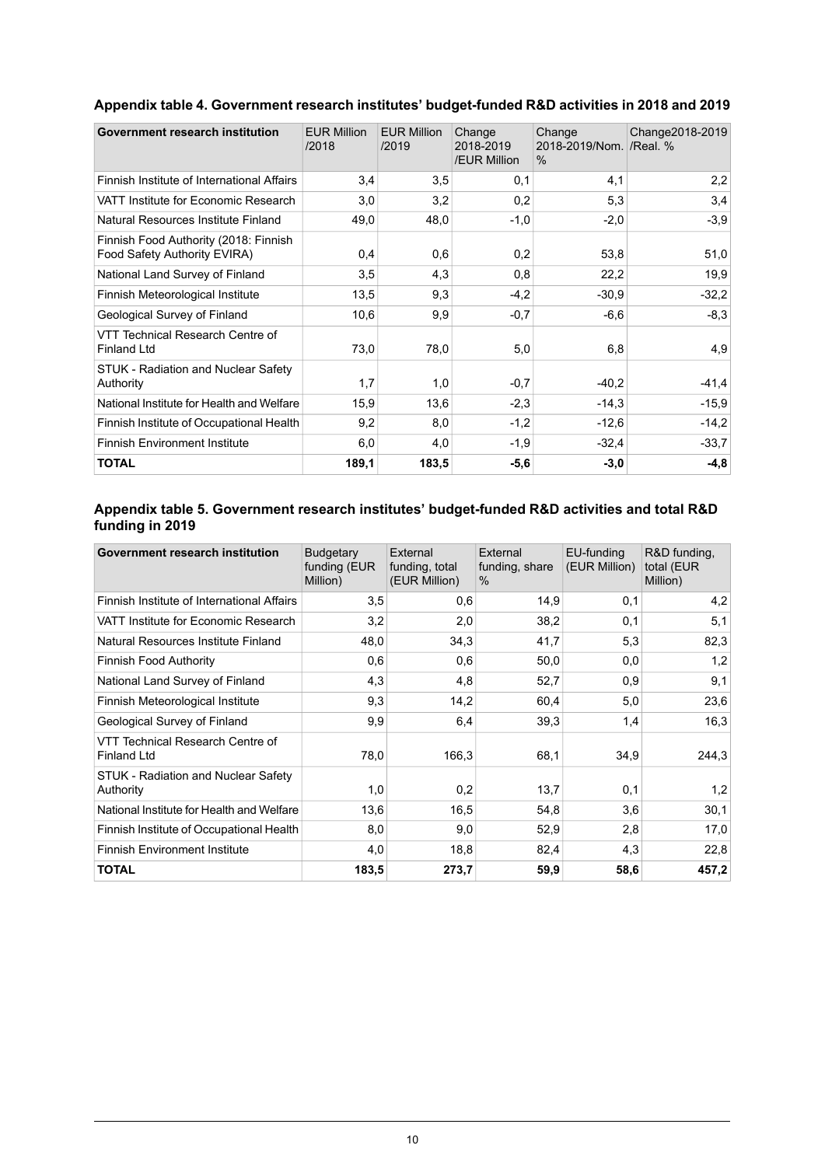| Government research institution                                       | <b>EUR Million</b><br>/2018 | <b>EUR Million</b><br>/2019 | Change<br>2018-2019<br>/EUR Million | Change<br>2018-2019/Nom. /Real. %<br>$\%$ | Change2018-2019 |
|-----------------------------------------------------------------------|-----------------------------|-----------------------------|-------------------------------------|-------------------------------------------|-----------------|
| Finnish Institute of International Affairs                            | 3,4                         | 3,5                         | 0,1                                 | 4,1                                       | 2,2             |
| VATT Institute for Economic Research                                  | 3,0                         | 3,2                         | 0,2                                 | 5,3                                       | 3,4             |
| Natural Resources Institute Finland                                   | 49,0                        | 48,0                        | $-1,0$                              | $-2,0$                                    | $-3,9$          |
| Finnish Food Authority (2018: Finnish<br>Food Safety Authority EVIRA) | 0,4                         | 0,6                         | 0,2                                 | 53,8                                      | 51,0            |
| National Land Survey of Finland                                       | 3,5                         | 4,3                         | 0,8                                 | 22,2                                      | 19,9            |
| Finnish Meteorological Institute                                      | 13,5                        | 9,3                         | $-4,2$                              | $-30.9$                                   | $-32,2$         |
| Geological Survey of Finland                                          | 10,6                        | 9,9                         | $-0.7$                              | $-6,6$                                    | $-8.3$          |
| VTT Technical Research Centre of<br><b>Finland Ltd</b>                | 73,0                        | 78,0                        | 5,0                                 | 6,8                                       | 4,9             |
| STUK - Radiation and Nuclear Safety<br>Authority                      | 1,7                         | 1,0                         | $-0,7$                              | $-40.2$                                   | $-41,4$         |
| National Institute for Health and Welfare                             | 15,9                        | 13,6                        | $-2,3$                              | $-14.3$                                   | $-15,9$         |
| Finnish Institute of Occupational Health                              | 9,2                         | 8,0                         | $-1,2$                              | $-12,6$                                   | $-14,2$         |
| <b>Finnish Environment Institute</b>                                  | 6,0                         | 4,0                         | $-1,9$                              | $-32,4$                                   | $-33,7$         |
| <b>TOTAL</b>                                                          | 189,1                       | 183,5                       | $-5,6$                              | $-3,0$                                    | $-4,8$          |

### <span id="page-9-0"></span>**Appendix table 4. Government research institutes' budget-funded R&D activities in 2018 and 2019**

#### <span id="page-9-1"></span>**Appendix table 5. Government research institutes' budget-funded R&D activities and total R&D funding in 2019**

| Government research institution                        | <b>Budgetary</b><br>funding (EUR<br>Million) | External<br>funding, total<br>(EUR Million) | External<br>funding, share<br>$\%$ | EU-funding<br>(EUR Million) | R&D funding,<br>total (EUR<br>Million) |
|--------------------------------------------------------|----------------------------------------------|---------------------------------------------|------------------------------------|-----------------------------|----------------------------------------|
| Finnish Institute of International Affairs             | 3,5                                          | 0,6                                         | 14,9                               | 0,1                         | 4,2                                    |
| VATT Institute for Economic Research                   | 3,2                                          | 2,0                                         | 38,2                               | 0,1                         | 5,1                                    |
| Natural Resources Institute Finland                    | 48,0                                         | 34.3                                        | 41,7                               | 5,3                         | 82,3                                   |
| Finnish Food Authority                                 | 0,6                                          | 0,6                                         | 50,0                               | 0,0                         | 1,2                                    |
| National Land Survey of Finland                        | 4,3                                          | 4,8                                         | 52,7                               | 0,9                         | 9,1                                    |
| Finnish Meteorological Institute                       | 9,3                                          | 14,2                                        | 60,4                               | 5,0                         | 23,6                                   |
| Geological Survey of Finland                           | 9,9                                          | 6,4                                         | 39,3                               | 1,4                         | 16.3                                   |
| VTT Technical Research Centre of<br><b>Finland Ltd</b> | 78,0                                         | 166,3                                       | 68,1                               | 34,9                        | 244.3                                  |
| STUK - Radiation and Nuclear Safety<br>Authority       | 1,0                                          | 0,2                                         | 13,7                               | 0,1                         | 1,2                                    |
| National Institute for Health and Welfare              | 13,6                                         | 16,5                                        | 54,8                               | 3,6                         | 30,1                                   |
| Finnish Institute of Occupational Health               | 8,0                                          | 9,0                                         | 52,9                               | 2,8                         | 17,0                                   |
| <b>Finnish Environment Institute</b>                   | 4,0                                          | 18,8                                        | 82,4                               | 4,3                         | 22,8                                   |
| <b>TOTAL</b>                                           | 183,5                                        | 273,7                                       | 59,9                               | 58,6                        | 457,2                                  |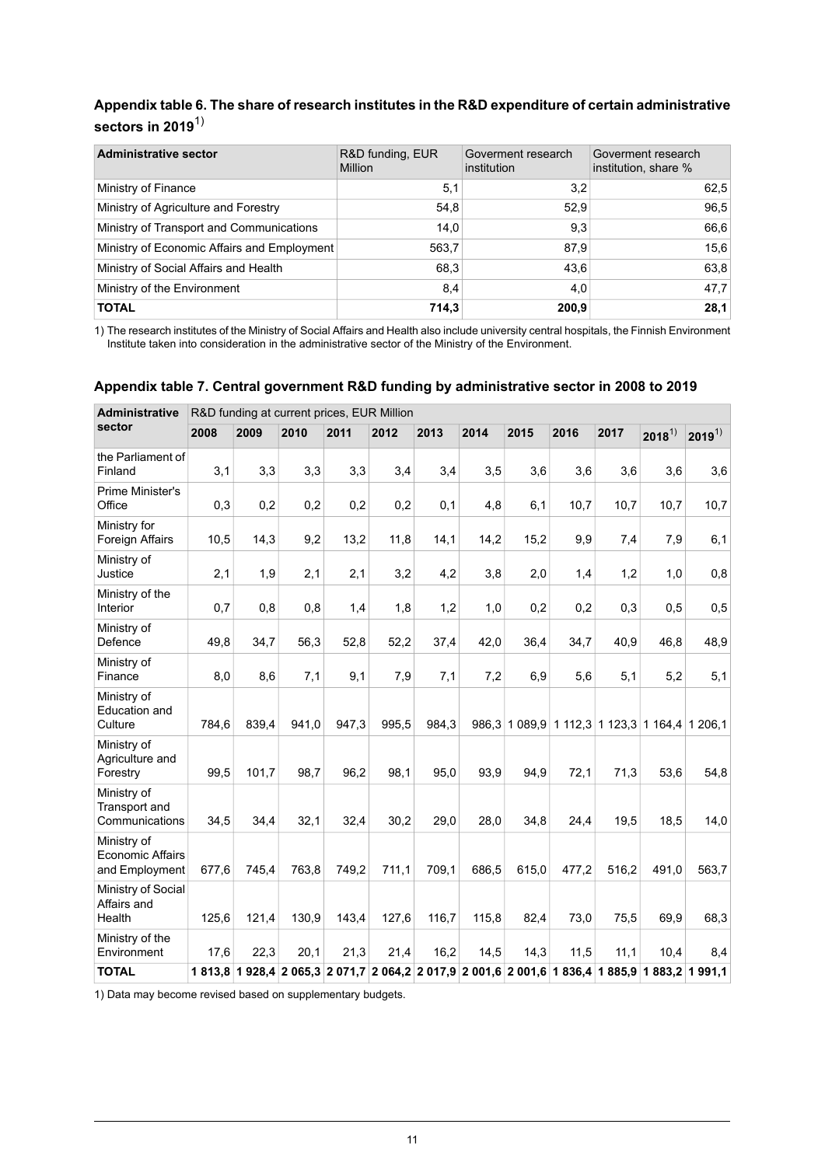### <span id="page-10-0"></span>**Appendix table 6. The share of research institutes in the R&D expenditure of certain administrative sectors in 2019**1)

| <b>Administrative sector</b>                | R&D funding, EUR<br><b>Million</b> | Goverment research<br>institution | Goverment research<br>institution, share % |
|---------------------------------------------|------------------------------------|-----------------------------------|--------------------------------------------|
| Ministry of Finance                         | 5,1                                | 3,2                               | 62,5                                       |
| Ministry of Agriculture and Forestry        | 54.8                               | 52.9                              | 96,5                                       |
| Ministry of Transport and Communications    | 14,0                               | 9,3                               | 66,6                                       |
| Ministry of Economic Affairs and Employment | 563,7                              | 87.9                              | 15,6                                       |
| Ministry of Social Affairs and Health       | 68.3                               | 43.6                              | 63,8                                       |
| Ministry of the Environment                 | 8,4                                | 4,0                               | 47,7                                       |
| <b>TOTAL</b>                                | 714,3                              | 200,9                             | 28,1                                       |

<span id="page-10-1"></span>The research institutes of the Ministry of Social Affairs and Health also include university central hospitals, the Finnish Environment Institute taken into consideration in the administrative sector of the Ministry of the Environment. 1)

#### **Appendix table 7. Central government R&D funding by administrative sector in 2008 to 2019**

| <b>Administrative</b>                                    | R&D funding at current prices, EUR Million |       |                                                                                                 |       |       |       |       |            |       |                                 |            |            |
|----------------------------------------------------------|--------------------------------------------|-------|-------------------------------------------------------------------------------------------------|-------|-------|-------|-------|------------|-------|---------------------------------|------------|------------|
| sector                                                   | 2008                                       | 2009  | 2010                                                                                            | 2011  | 2012  | 2013  | 2014  | 2015       | 2016  | 2017                            | $2018^{1}$ | $2019^{1}$ |
| the Parliament of<br>Finland                             | 3,1                                        | 3,3   | 3,3                                                                                             | 3,3   | 3,4   | 3,4   | 3,5   | 3,6        | 3,6   | 3,6                             | 3,6        | 3,6        |
| Prime Minister's<br>Office                               | 0,3                                        | 0,2   | 0,2                                                                                             | 0,2   | 0,2   | 0,1   | 4,8   | 6,1        | 10,7  | 10,7                            | 10,7       | 10,7       |
| Ministry for<br>Foreign Affairs                          | 10,5                                       | 14,3  | 9,2                                                                                             | 13,2  | 11,8  | 14,1  | 14,2  | 15,2       | 9,9   | 7,4                             | 7,9        | 6,1        |
| Ministry of<br>Justice                                   | 2,1                                        | 1,9   | 2,1                                                                                             | 2,1   | 3,2   | 4,2   | 3,8   | 2,0        | 1,4   | 1,2                             | 1,0        | 0,8        |
| Ministry of the<br>Interior                              | 0,7                                        | 0,8   | 0,8                                                                                             | 1,4   | 1,8   | 1,2   | 1,0   | 0,2        | 0,2   | 0,3                             | 0,5        | 0,5        |
| Ministry of<br>Defence                                   | 49,8                                       | 34,7  | 56,3                                                                                            | 52,8  | 52,2  | 37,4  | 42,0  | 36,4       | 34,7  | 40,9                            | 46,8       | 48,9       |
| Ministry of<br>Finance                                   | 8,0                                        | 8,6   | 7,1                                                                                             | 9,1   | 7,9   | 7,1   | 7,2   | 6,9        | 5,6   | 5,1                             | 5,2        | 5,1        |
| Ministry of<br><b>Education and</b><br>Culture           | 784,6                                      | 839,4 | 941,0                                                                                           | 947,3 | 995,5 | 984,3 | 986,3 | 1 0 8 9, 9 |       | 1 112,3 1 123,3 1 164,4 1 206,1 |            |            |
| Ministry of<br>Agriculture and<br>Forestry               | 99,5                                       | 101,7 | 98,7                                                                                            | 96,2  | 98,1  | 95,0  | 93,9  | 94,9       | 72,1  | 71,3                            | 53,6       | 54,8       |
| Ministry of<br>Transport and<br>Communications           | 34,5                                       | 34,4  | 32,1                                                                                            | 32,4  | 30,2  | 29,0  | 28,0  | 34,8       | 24,4  | 19,5                            | 18,5       | 14,0       |
| Ministry of<br><b>Economic Affairs</b><br>and Employment | 677,6                                      | 745,4 | 763,8                                                                                           | 749,2 | 711,1 | 709,1 | 686,5 | 615,0      | 477,2 | 516,2                           | 491,0      | 563,7      |
| Ministry of Social<br>Affairs and<br>Health              | 125,6                                      | 121,4 | 130,9                                                                                           | 143,4 | 127,6 | 116,7 | 115,8 | 82,4       | 73,0  | 75,5                            | 69,9       | 68,3       |
| Ministry of the<br>Environment                           | 17,6                                       | 22,3  | 20,1                                                                                            | 21,3  | 21,4  | 16,2  | 14,5  | 14,3       | 11,5  | 11,1                            | 10,4       | 8,4        |
| <b>TOTAL</b>                                             |                                            |       | 1 813,8 1 928,4 2 065,3 2 071,7 2 064,2 2 017,9 2 001,6 2 001,6 1 836,4 1 885,9 1 883,2 1 991,1 |       |       |       |       |            |       |                                 |            |            |

1) Data may become revised based on supplementary budgets.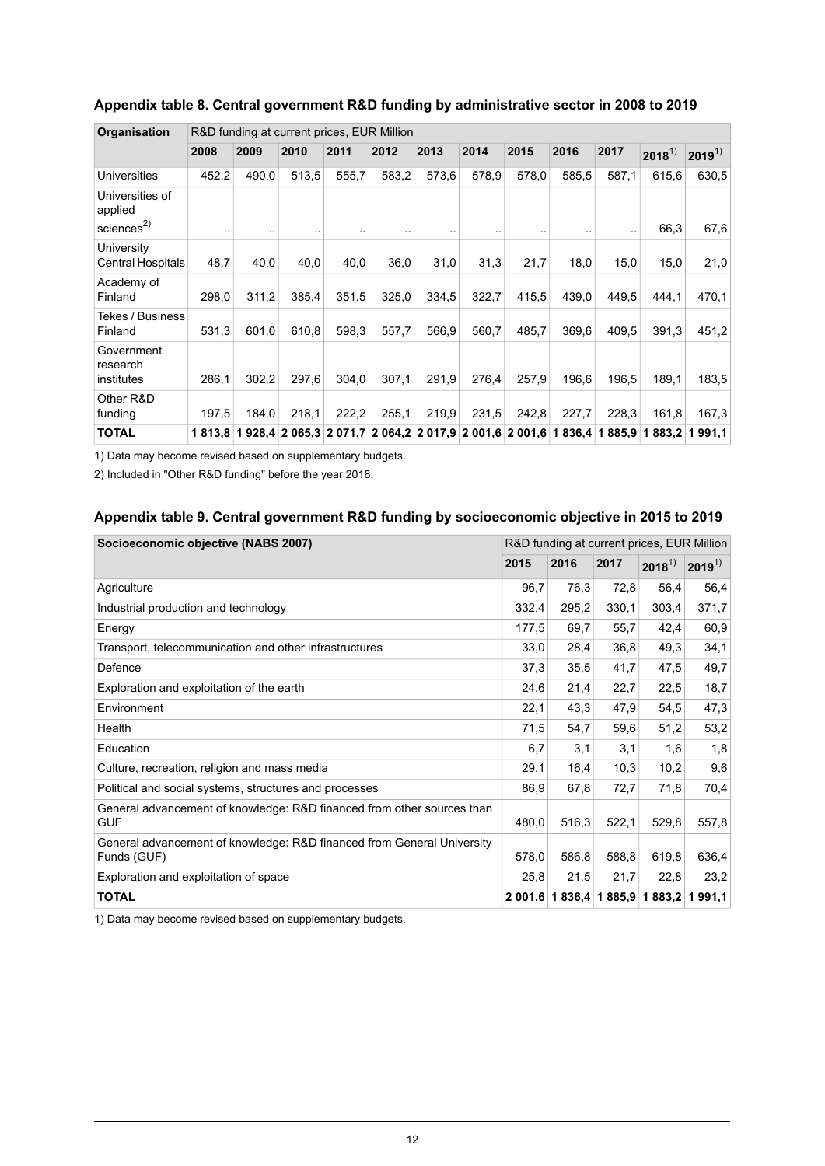| Organisation                                         | R&D funding at current prices, EUR Million |       |                                                                         |       |       |       |       |       |       |       |            |            |  |
|------------------------------------------------------|--------------------------------------------|-------|-------------------------------------------------------------------------|-------|-------|-------|-------|-------|-------|-------|------------|------------|--|
|                                                      | 2008                                       | 2009  | 2010                                                                    | 2011  | 2012  | 2013  | 2014  | 2015  | 2016  | 2017  | $2018^{1}$ | $2019^{1}$ |  |
| <b>Universities</b>                                  | 452,2                                      | 490,0 | 513,5                                                                   | 555,7 | 583,2 | 573,6 | 578,9 | 578,0 | 585.5 | 587,1 | 615.6      | 630.5      |  |
| Universities of<br>applied<br>sciences <sup>2)</sup> |                                            |       |                                                                         |       |       |       |       |       |       |       | 66,3       | 67,6       |  |
| University<br><b>Central Hospitals</b>               | 48,7                                       | 40,0  | 40,0                                                                    | 40,0  | 36,0  | 31,0  | 31,3  | 21,7  | 18,0  | 15.0  | 15.0       | 21,0       |  |
| Academy of<br>Finland                                | 298,0                                      | 311,2 | 385.4                                                                   | 351,5 | 325,0 | 334,5 | 322,7 | 415,5 | 439.0 | 449.5 | 444.1      | 470,1      |  |
| Tekes / Business<br>Finland                          | 531,3                                      | 601,0 | 610,8                                                                   | 598,3 | 557,7 | 566,9 | 560,7 | 485,7 | 369,6 | 409.5 | 391,3      | 451,2      |  |
| Government<br>research<br>institutes                 | 286,1                                      | 302,2 | 297,6                                                                   | 304,0 | 307,1 | 291,9 | 276.4 | 257,9 | 196,6 | 196.5 | 189,1      | 183,5      |  |
| Other R&D<br>funding                                 | 197,5                                      | 184,0 | 218.1                                                                   | 222,2 | 255.1 | 219,9 | 231,5 | 242,8 | 227,7 | 228,3 | 161,8      | 167,3      |  |
| <b>TOTAL</b>                                         | 1813.8                                     |       | 1 928,4 2 065,3 2 071,7 2 064,2 2 017,9 2 001,6 2 001,6 1 836,4 1 885,9 |       |       |       |       |       |       |       | 1883.2     | 1991.1     |  |

### <span id="page-11-0"></span>**Appendix table 8. Central government R&D funding by administrative sector in 2008 to 2019**

1) Data may become revised based on supplementary budgets.

<span id="page-11-1"></span>2) Included in "Other R&D funding" before the year 2018.

#### **Appendix table 9. Central government R&D funding by socioeconomic objective in 2015 to 2019**

| Socioeconomic objective (NABS 2007)                                                   |       | R&D funding at current prices, EUR Million |       |                                         |            |  |  |
|---------------------------------------------------------------------------------------|-------|--------------------------------------------|-------|-----------------------------------------|------------|--|--|
|                                                                                       | 2015  | 2016                                       | 2017  | $2018^{1}$                              | $2019^{1}$ |  |  |
| Agriculture                                                                           | 96,7  | 76,3                                       | 72,8  | 56,4                                    | 56,4       |  |  |
| Industrial production and technology                                                  | 332,4 | 295,2                                      | 330,1 | 303.4                                   | 371,7      |  |  |
| Energy                                                                                | 177,5 | 69,7                                       | 55,7  | 42,4                                    | 60,9       |  |  |
| Transport, telecommunication and other infrastructures                                | 33,0  | 28,4                                       | 36,8  | 49,3                                    | 34,1       |  |  |
| Defence                                                                               | 37,3  | 35,5                                       | 41,7  | 47,5                                    | 49,7       |  |  |
| Exploration and exploitation of the earth                                             | 24,6  | 21,4                                       | 22,7  | 22,5                                    | 18,7       |  |  |
| Environment                                                                           | 22,1  | 43,3                                       | 47,9  | 54,5                                    | 47,3       |  |  |
| Health                                                                                | 71,5  | 54,7                                       | 59,6  | 51,2                                    | 53,2       |  |  |
| Education                                                                             | 6,7   | 3,1                                        | 3,1   | 1,6                                     | 1,8        |  |  |
| Culture, recreation, religion and mass media                                          | 29,1  | 16,4                                       | 10,3  | 10,2                                    | 9,6        |  |  |
| Political and social systems, structures and processes                                | 86,9  | 67,8                                       | 72,7  | 71,8                                    | 70,4       |  |  |
| General advancement of knowledge: R&D financed from other sources than<br><b>GUF</b>  | 480,0 | 516,3                                      | 522,1 | 529.8                                   | 557,8      |  |  |
| General advancement of knowledge: R&D financed from General University<br>Funds (GUF) | 578,0 | 586,8                                      | 588,8 | 619,8                                   | 636,4      |  |  |
| Exploration and exploitation of space                                                 | 25,8  | 21,5                                       | 21,7  | 22,8                                    | 23,2       |  |  |
| <b>TOTAL</b>                                                                          |       |                                            |       | 2 001.6 1 836.4 1 885.9 1 883.2 1 991.1 |            |  |  |

1) Data may become revised based on supplementary budgets.